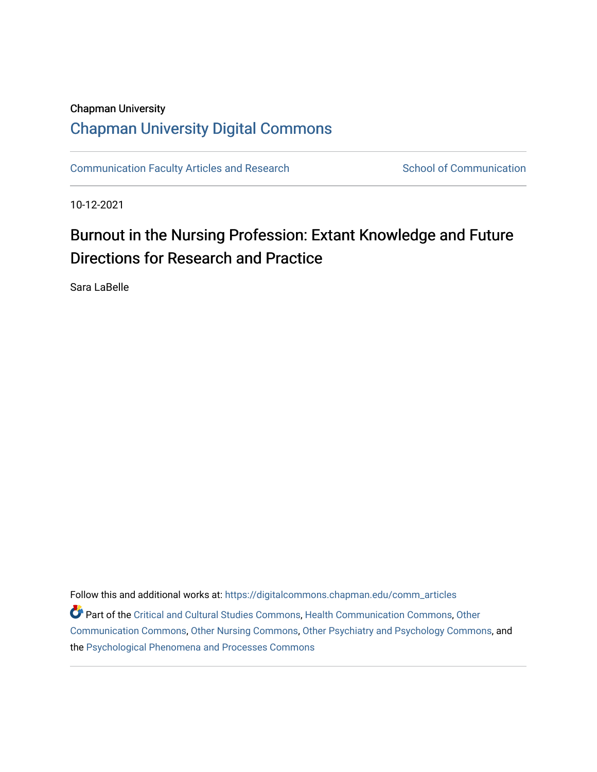# Chapman University [Chapman University Digital Commons](https://digitalcommons.chapman.edu/)

[Communication Faculty Articles and Research](https://digitalcommons.chapman.edu/comm_articles) School of Communication

10-12-2021

# Burnout in the Nursing Profession: Extant Knowledge and Future Directions for Research and Practice

Sara LaBelle

Follow this and additional works at: [https://digitalcommons.chapman.edu/comm\\_articles](https://digitalcommons.chapman.edu/comm_articles?utm_source=digitalcommons.chapman.edu%2Fcomm_articles%2F85&utm_medium=PDF&utm_campaign=PDFCoverPages)  Part of the [Critical and Cultural Studies Commons](http://network.bepress.com/hgg/discipline/328?utm_source=digitalcommons.chapman.edu%2Fcomm_articles%2F85&utm_medium=PDF&utm_campaign=PDFCoverPages), [Health Communication Commons,](http://network.bepress.com/hgg/discipline/330?utm_source=digitalcommons.chapman.edu%2Fcomm_articles%2F85&utm_medium=PDF&utm_campaign=PDFCoverPages) [Other](http://network.bepress.com/hgg/discipline/339?utm_source=digitalcommons.chapman.edu%2Fcomm_articles%2F85&utm_medium=PDF&utm_campaign=PDFCoverPages)  [Communication Commons](http://network.bepress.com/hgg/discipline/339?utm_source=digitalcommons.chapman.edu%2Fcomm_articles%2F85&utm_medium=PDF&utm_campaign=PDFCoverPages), [Other Nursing Commons,](http://network.bepress.com/hgg/discipline/729?utm_source=digitalcommons.chapman.edu%2Fcomm_articles%2F85&utm_medium=PDF&utm_campaign=PDFCoverPages) [Other Psychiatry and Psychology Commons,](http://network.bepress.com/hgg/discipline/992?utm_source=digitalcommons.chapman.edu%2Fcomm_articles%2F85&utm_medium=PDF&utm_campaign=PDFCoverPages) and the [Psychological Phenomena and Processes Commons](http://network.bepress.com/hgg/discipline/914?utm_source=digitalcommons.chapman.edu%2Fcomm_articles%2F85&utm_medium=PDF&utm_campaign=PDFCoverPages)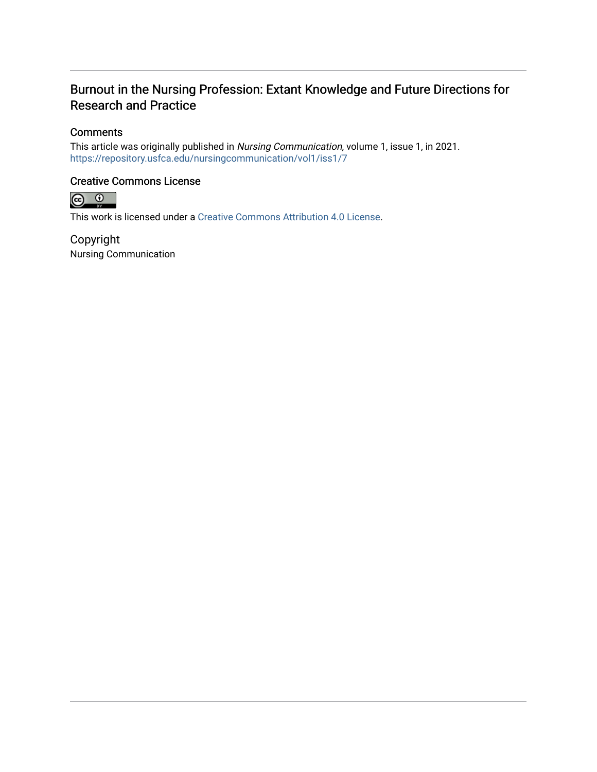# Burnout in the Nursing Profession: Extant Knowledge and Future Directions for Research and Practice

### **Comments**

This article was originally published in Nursing Communication, volume 1, issue 1, in 2021. <https://repository.usfca.edu/nursingcommunication/vol1/iss1/7>

### Creative Commons License



This work is licensed under a [Creative Commons Attribution 4.0 License](https://creativecommons.org/licenses/by/4.0/).

Copyright Nursing Communication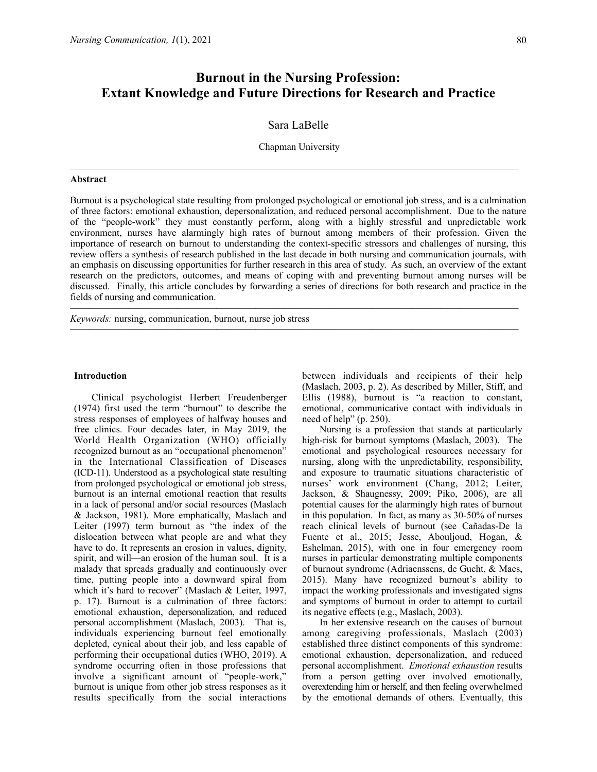## **Burnout in the Nursing Profession: Extant Knowledge and Future Directions for Research and Practice**

#### Sara LaBelle

Chapman University

——————————————————————————————————————————————

#### **Abstract**

Burnout is a psychological state resulting from prolonged psychological or emotional job stress, and is a culmination of three factors: emotional exhaustion, depersonalization, and reduced personal accomplishment. Due to the nature of the "people-work" they must constantly perform, along with a highly stressful and unpredictable work environment, nurses have alarmingly high rates of burnout among members of their profession. Given the importance of research on burnout to understanding the context-specific stressors and challenges of nursing, this review offers a synthesis of research published in the last decade in both nursing and communication journals, with an emphasis on discussing opportunities for further research in this area of study. As such, an overview of the extant research on the predictors, outcomes, and means of coping with and preventing burnout among nurses will be discussed. Finally, this article concludes by forwarding a series of directions for both research and practice in the fields of nursing and communication.

——————————————————————————————————————————————

 $\mathcal{L}=\{1,2,3,4\}$  , we can consider the constant of  $\mathcal{L}=\{1,3,4\}$ 

*Keywords:* nursing, communication, burnout, nurse job stress

#### **Introduction**

Clinical psychologist Herbert Freudenberger (1974) first used the term "burnout" to describe the stress responses of employees of halfway houses and free clinics. Four decades later, in May 2019, the World Health Organization (WHO) officially recognized burnout as an "occupational phenomenon" in the International Classification of Diseases (ICD-11). Understood as a psychological state resulting from prolonged psychological or emotional job stress, burnout is an internal emotional reaction that results in a lack of personal and/or social resources (Maslach & Jackson, 1981). More emphatically, Maslach and Leiter (1997) term burnout as "the index of the dislocation between what people are and what they have to do. It represents an erosion in values, dignity, spirit, and will—an erosion of the human soul. It is a malady that spreads gradually and continuously over time, putting people into a downward spiral from which it's hard to recover" (Maslach & Leiter, 1997, p. 17). Burnout is a culmination of three factors: emotional exhaustion, depersonalization, and reduced personal accomplishment (Maslach, 2003). That is, individuals experiencing burnout feel emotionally depleted, cynical about their job, and less capable of performing their occupational duties (WHO, 2019). A syndrome occurring often in those professions that involve a significant amount of "people-work," burnout is unique from other job stress responses as it results specifically from the social interactions between individuals and recipients of their help (Maslach, 2003, p. 2). As described by Miller, Stiff, and Ellis (1988), burnout is "a reaction to constant, emotional, communicative contact with individuals in need of help" (p. 250).

Nursing is a profession that stands at particularly high-risk for burnout symptoms (Maslach, 2003). The emotional and psychological resources necessary for nursing, along with the unpredictability, responsibility, and exposure to traumatic situations characteristic of nurses' work environment (Chang, 2012; Leiter, Jackson, & Shaugnessy, 2009; Piko, 2006), are all potential causes for the alarmingly high rates of burnout in this population. In fact, as many as 30-50% of nurses reach clinical levels of burnout (see Cañadas-De la Fuente et al., 2015; Jesse, Abouljoud, Hogan, & Eshelman, 2015), with one in four emergency room nurses in particular demonstrating multiple components of burnout syndrome (Adriaenssens, de Gucht, & Maes, 2015). Many have recognized burnout's ability to impact the working professionals and investigated signs and symptoms of burnout in order to attempt to curtail its negative effects (e.g., Maslach, 2003).

In her extensive research on the causes of burnout among caregiving professionals, Maslach (2003) established three distinct components of this syndrome: emotional exhaustion, depersonalization, and reduced personal accomplishment. *Emotional exhaustion* results from a person getting over involved emotionally, overextending him or herself, and then feeling overwhelmed by the emotional demands of others. Eventually, this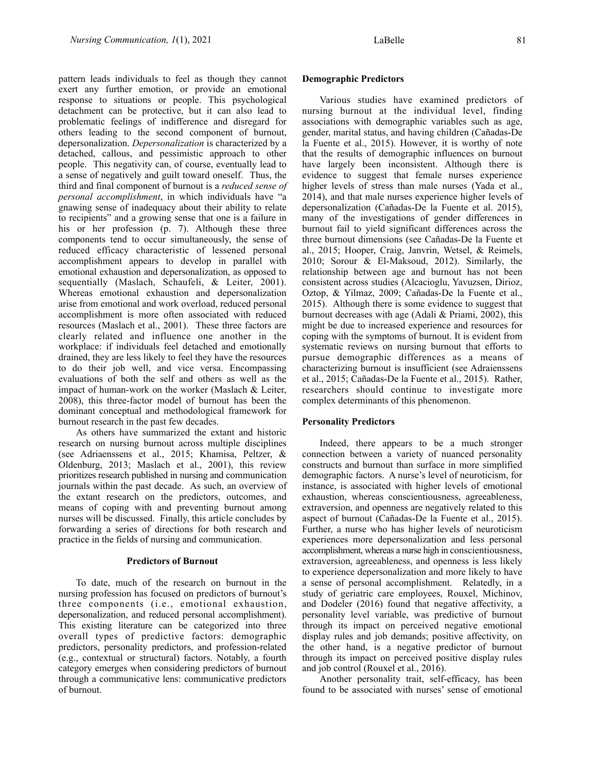pattern leads individuals to feel as though they cannot exert any further emotion, or provide an emotional response to situations or people. This psychological detachment can be protective, but it can also lead to problematic feelings of indifference and disregard for others leading to the second component of burnout, depersonalization. *Depersonalization* is characterized by a detached, callous, and pessimistic approach to other people. This negativity can, of course, eventually lead to a sense of negatively and guilt toward oneself. Thus, the third and final component of burnout is a *reduced sense of personal accomplishment*, in which individuals have "a gnawing sense of inadequacy about their ability to relate to recipients" and a growing sense that one is a failure in his or her profession (p. 7). Although these three components tend to occur simultaneously, the sense of reduced efficacy characteristic of lessened personal accomplishment appears to develop in parallel with emotional exhaustion and depersonalization, as opposed to sequentially (Maslach, Schaufeli, & Leiter, 2001). Whereas emotional exhaustion and depersonalization arise from emotional and work overload, reduced personal accomplishment is more often associated with reduced resources (Maslach et al., 2001). These three factors are clearly related and influence one another in the workplace: if individuals feel detached and emotionally drained, they are less likely to feel they have the resources to do their job well, and vice versa. Encompassing evaluations of both the self and others as well as the impact of human-work on the worker (Maslach & Leiter, 2008), this three-factor model of burnout has been the dominant conceptual and methodological framework for burnout research in the past few decades.

As others have summarized the extant and historic research on nursing burnout across multiple disciplines (see Adriaenssens et al., 2015; Khamisa, Peltzer, & Oldenburg, 2013; Maslach et al., 2001), this review prioritizes research published in nursing and communication journals within the past decade. As such, an overview of the extant research on the predictors, outcomes, and means of coping with and preventing burnout among nurses will be discussed. Finally, this article concludes by forwarding a series of directions for both research and practice in the fields of nursing and communication.

#### **Predictors of Burnout**

To date, much of the research on burnout in the nursing profession has focused on predictors of burnout's three components (i.e., emotional exhaustion, depersonalization, and reduced personal accomplishment). This existing literature can be categorized into three overall types of predictive factors: demographic predictors, personality predictors, and profession-related (e.g., contextual or structural) factors. Notably, a fourth category emerges when considering predictors of burnout through a communicative lens: communicative predictors of burnout.

Various studies have examined predictors of nursing burnout at the individual level, finding associations with demographic variables such as age, gender, marital status, and having children (Cañadas-De la Fuente et al., 2015). However, it is worthy of note that the results of demographic influences on burnout have largely been inconsistent. Although there is evidence to suggest that female nurses experience higher levels of stress than male nurses (Yada et al., 2014), and that male nurses experience higher levels of depersonalization (Cañadas-De la Fuente et al. 2015), many of the investigations of gender differences in burnout fail to yield significant differences across the three burnout dimensions (see Cañadas-De la Fuente et al., 2015; Hooper, Craig, Janvrin, Wetsel, & Reimels, 2010; Sorour & El-Maksoud, 2012). Similarly, the relationship between age and burnout has not been consistent across studies (Alcacioglu, Yavuzsen, Dirioz, Oztop, & Yilmaz, 2009; Cañadas-De la Fuente et al., 2015). Although there is some evidence to suggest that burnout decreases with age (Adali & Priami, 2002), this might be due to increased experience and resources for coping with the symptoms of burnout. It is evident from systematic reviews on nursing burnout that efforts to pursue demographic differences as a means of characterizing burnout is insufficient (see Adraienssens et al., 2015; Cañadas-De la Fuente et al., 2015). Rather, researchers should continue to investigate more complex determinants of this phenomenon.

#### **Personality Predictors**

Indeed, there appears to be a much stronger connection between a variety of nuanced personality constructs and burnout than surface in more simplified demographic factors. A nurse's level of neuroticism, for instance, is associated with higher levels of emotional exhaustion, whereas conscientiousness, agreeableness, extraversion, and openness are negatively related to this aspect of burnout (Cañadas-De la Fuente et al., 2015). Further, a nurse who has higher levels of neuroticism experiences more depersonalization and less personal accomplishment, whereas a nurse high in conscientiousness, extraversion, agreeableness, and openness is less likely to experience depersonalization and more likely to have a sense of personal accomplishment. Relatedly, in a study of geriatric care employees, Rouxel, Michinov, and Dodeler (2016) found that negative affectivity, a personality level variable, was predictive of burnout through its impact on perceived negative emotional display rules and job demands; positive affectivity, on the other hand, is a negative predictor of burnout through its impact on perceived positive display rules and job control (Rouxel et al., 2016).

Another personality trait, self-efficacy, has been found to be associated with nurses' sense of emotional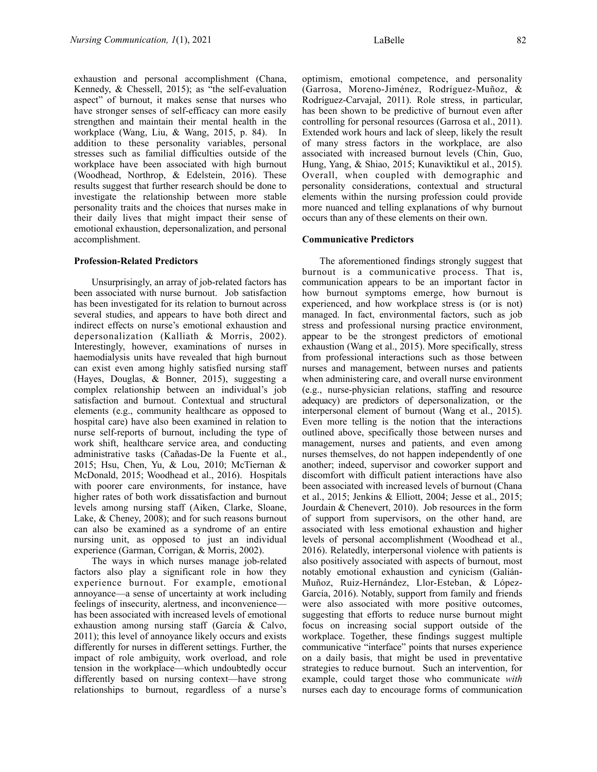exhaustion and personal accomplishment (Chana, Kennedy, & Chessell, 2015); as "the self-evaluation aspect" of burnout, it makes sense that nurses who have stronger senses of self-efficacy can more easily strengthen and maintain their mental health in the workplace (Wang, Liu, & Wang, 2015, p. 84). In addition to these personality variables, personal stresses such as familial difficulties outside of the workplace have been associated with high burnout (Woodhead, Northrop, & Edelstein, 2016). These results suggest that further research should be done to investigate the relationship between more stable personality traits and the choices that nurses make in their daily lives that might impact their sense of emotional exhaustion, depersonalization, and personal accomplishment.

#### **Profession-Related Predictors**

Unsurprisingly, an array of job-related factors has been associated with nurse burnout. Job satisfaction has been investigated for its relation to burnout across several studies, and appears to have both direct and indirect effects on nurse's emotional exhaustion and depersonalization (Kalliath & Morris, 2002). Interestingly, however, examinations of nurses in haemodialysis units have revealed that high burnout can exist even among highly satisfied nursing staff (Hayes, Douglas, & Bonner, 2015), suggesting a complex relationship between an individual's job satisfaction and burnout. Contextual and structural elements (e.g., community healthcare as opposed to hospital care) have also been examined in relation to nurse self-reports of burnout, including the type of work shift, healthcare service area, and conducting administrative tasks (Cañadas-De la Fuente et al., 2015; Hsu, Chen, Yu, & Lou, 2010; McTiernan & McDonald, 2015; Woodhead et al., 2016). Hospitals with poorer care environments, for instance, have higher rates of both work dissatisfaction and burnout levels among nursing staff (Aiken, Clarke, Sloane, Lake, & Cheney, 2008); and for such reasons burnout can also be examined as a syndrome of an entire nursing unit, as opposed to just an individual experience (Garman, Corrigan, & Morris, 2002).

The ways in which nurses manage job-related factors also play a significant role in how they experience burnout. For example, emotional annoyance—a sense of uncertainty at work including feelings of insecurity, alertness, and inconvenience has been associated with increased levels of emotional exhaustion among nursing staff (García & Calvo, 2011); this level of annoyance likely occurs and exists differently for nurses in different settings. Further, the impact of role ambiguity, work overload, and role tension in the workplace—which undoubtedly occur differently based on nursing context—have strong relationships to burnout, regardless of a nurse's

optimism, emotional competence, and personality (Garrosa, Moreno-Jiménez, Rodríguez-Muñoz, & Rodríguez-Carvajal, 2011). Role stress, in particular, has been shown to be predictive of burnout even after controlling for personal resources (Garrosa et al., 2011). Extended work hours and lack of sleep, likely the result of many stress factors in the workplace, are also associated with increased burnout levels (Chin, Guo, Hung, Yang, & Shiao, 2015; Kunaviktikul et al., 2015). Overall, when coupled with demographic and personality considerations, contextual and structural elements within the nursing profession could provide more nuanced and telling explanations of why burnout

occurs than any of these elements on their own.

#### **Communicative Predictors**

The aforementioned findings strongly suggest that burnout is a communicative process. That is, communication appears to be an important factor in how burnout symptoms emerge, how burnout is experienced, and how workplace stress is (or is not) managed. In fact, environmental factors, such as job stress and professional nursing practice environment, appear to be the strongest predictors of emotional exhaustion (Wang et al., 2015). More specifically, stress from professional interactions such as those between nurses and management, between nurses and patients when administering care, and overall nurse environment (e.g., nurse-physician relations, staffing and resource adequacy) are predictors of depersonalization, or the interpersonal element of burnout (Wang et al., 2015). Even more telling is the notion that the interactions outlined above, specifically those between nurses and management, nurses and patients, and even among nurses themselves, do not happen independently of one another; indeed, supervisor and coworker support and discomfort with difficult patient interactions have also been associated with increased levels of burnout (Chana et al., 2015; Jenkins & Elliott, 2004; Jesse et al., 2015; Jourdain & Chenevert, 2010). Job resources in the form of support from supervisors, on the other hand, are associated with less emotional exhaustion and higher levels of personal accomplishment (Woodhead et al., 2016). Relatedly, interpersonal violence with patients is also positively associated with aspects of burnout, most notably emotional exhaustion and cynicism (Galián-Muñoz, Ruiz-Hernández, Llor-Esteban, & López-García, 2016). Notably, support from family and friends were also associated with more positive outcomes, suggesting that efforts to reduce nurse burnout might focus on increasing social support outside of the workplace. Together, these findings suggest multiple communicative "interface" points that nurses experience on a daily basis, that might be used in preventative strategies to reduce burnout. Such an intervention, for example, could target those who communicate *with*  nurses each day to encourage forms of communication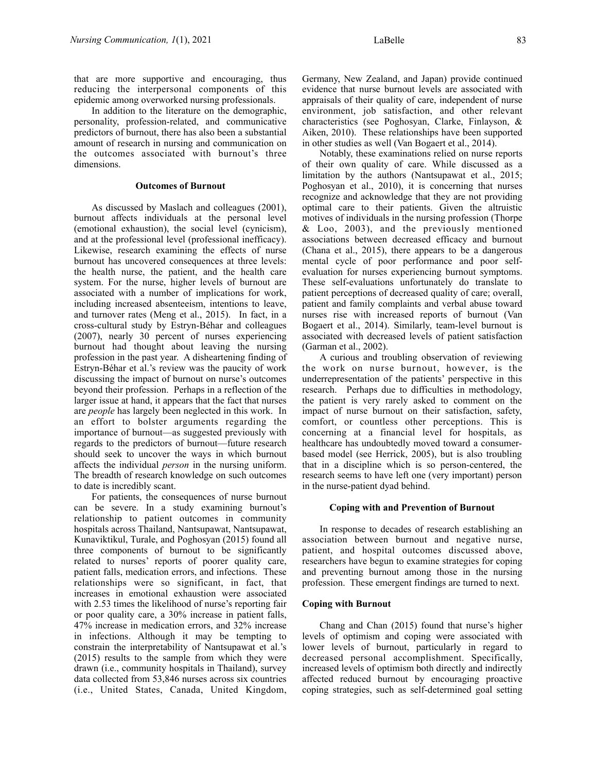that are more supportive and encouraging, thus reducing the interpersonal components of this epidemic among overworked nursing professionals.

In addition to the literature on the demographic, personality, profession-related, and communicative predictors of burnout, there has also been a substantial amount of research in nursing and communication on the outcomes associated with burnout's three dimensions.

#### **Outcomes of Burnout**

As discussed by Maslach and colleagues (2001), burnout affects individuals at the personal level (emotional exhaustion), the social level (cynicism), and at the professional level (professional inefficacy). Likewise, research examining the effects of nurse burnout has uncovered consequences at three levels: the health nurse, the patient, and the health care system. For the nurse, higher levels of burnout are associated with a number of implications for work, including increased absenteeism, intentions to leave, and turnover rates (Meng et al., 2015). In fact, in a cross-cultural study by Estryn-Béhar and colleagues (2007), nearly 30 percent of nurses experiencing burnout had thought about leaving the nursing profession in the past year. A disheartening finding of Estryn-Béhar et al.'s review was the paucity of work discussing the impact of burnout on nurse's outcomes beyond their profession. Perhaps in a reflection of the larger issue at hand, it appears that the fact that nurses are *people* has largely been neglected in this work. In an effort to bolster arguments regarding the importance of burnout—as suggested previously with regards to the predictors of burnout—future research should seek to uncover the ways in which burnout affects the individual *person* in the nursing uniform. The breadth of research knowledge on such outcomes to date is incredibly scant.

For patients, the consequences of nurse burnout can be severe. In a study examining burnout's relationship to patient outcomes in community hospitals across Thailand, Nantsupawat, Nantsupawat, Kunaviktikul, Turale, and Poghosyan (2015) found all three components of burnout to be significantly related to nurses' reports of poorer quality care, patient falls, medication errors, and infections. These relationships were so significant, in fact, that increases in emotional exhaustion were associated with 2.53 times the likelihood of nurse's reporting fair or poor quality care, a 30% increase in patient falls, 47% increase in medication errors, and 32% increase in infections. Although it may be tempting to constrain the interpretability of Nantsupawat et al.'s (2015) results to the sample from which they were drawn (i.e., community hospitals in Thailand), survey data collected from 53,846 nurses across six countries (i.e., United States, Canada, United Kingdom,

Germany, New Zealand, and Japan) provide continued evidence that nurse burnout levels are associated with appraisals of their quality of care, independent of nurse environment, job satisfaction, and other relevant characteristics (see Poghosyan, Clarke, Finlayson, & Aiken, 2010). These relationships have been supported in other studies as well (Van Bogaert et al., 2014).

Notably, these examinations relied on nurse reports of their own quality of care. While discussed as a limitation by the authors (Nantsupawat et al., 2015; Poghosyan et al., 2010), it is concerning that nurses recognize and acknowledge that they are not providing optimal care to their patients. Given the altruistic motives of individuals in the nursing profession (Thorpe & Loo, 2003), and the previously mentioned associations between decreased efficacy and burnout (Chana et al., 2015), there appears to be a dangerous mental cycle of poor performance and poor selfevaluation for nurses experiencing burnout symptoms. These self-evaluations unfortunately do translate to patient perceptions of decreased quality of care; overall, patient and family complaints and verbal abuse toward nurses rise with increased reports of burnout (Van Bogaert et al., 2014). Similarly, team-level burnout is associated with decreased levels of patient satisfaction (Garman et al., 2002).

A curious and troubling observation of reviewing the work on nurse burnout, however, is the underrepresentation of the patients' perspective in this research. Perhaps due to difficulties in methodology, the patient is very rarely asked to comment on the impact of nurse burnout on their satisfaction, safety, comfort, or countless other perceptions. This is concerning at a financial level for hospitals, as healthcare has undoubtedly moved toward a consumerbased model (see Herrick, 2005), but is also troubling that in a discipline which is so person-centered, the research seems to have left one (very important) person in the nurse-patient dyad behind.

#### **Coping with and Prevention of Burnout**

In response to decades of research establishing an association between burnout and negative nurse, patient, and hospital outcomes discussed above, researchers have begun to examine strategies for coping and preventing burnout among those in the nursing profession. These emergent findings are turned to next.

#### **Coping with Burnout**

Chang and Chan (2015) found that nurse's higher levels of optimism and coping were associated with lower levels of burnout, particularly in regard to decreased personal accomplishment. Specifically, increased levels of optimism both directly and indirectly affected reduced burnout by encouraging proactive coping strategies, such as self-determined goal setting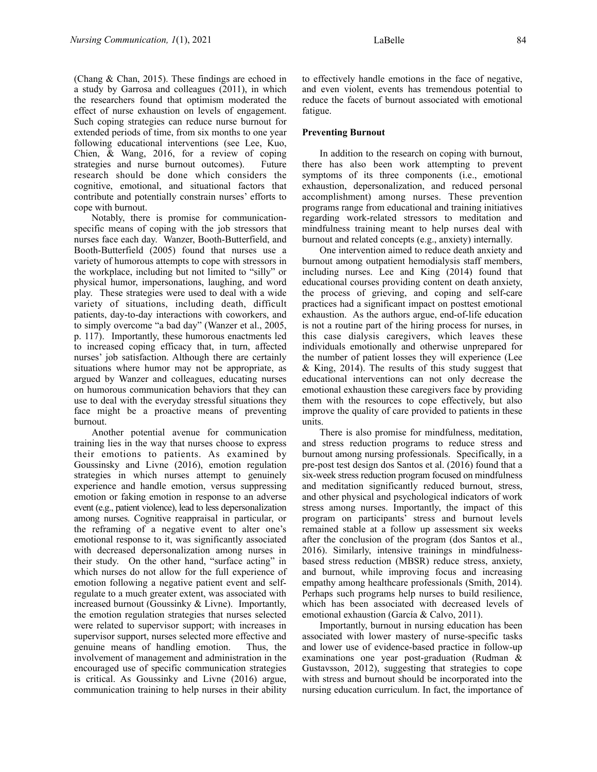(Chang & Chan, 2015). These findings are echoed in a study by Garrosa and colleagues (2011), in which the researchers found that optimism moderated the effect of nurse exhaustion on levels of engagement. Such coping strategies can reduce nurse burnout for extended periods of time, from six months to one year following educational interventions (see Lee, Kuo, Chien, & Wang, 2016, for a review of coping strategies and nurse burnout outcomes). Future research should be done which considers the cognitive, emotional, and situational factors that contribute and potentially constrain nurses' efforts to cope with burnout.

Notably, there is promise for communicationspecific means of coping with the job stressors that nurses face each day. Wanzer, Booth-Butterfield, and Booth-Butterfield (2005) found that nurses use a variety of humorous attempts to cope with stressors in the workplace, including but not limited to "silly" or physical humor, impersonations, laughing, and word play. These strategies were used to deal with a wide variety of situations, including death, difficult patients, day-to-day interactions with coworkers, and to simply overcome "a bad day" (Wanzer et al., 2005, p. 117). Importantly, these humorous enactments led to increased coping efficacy that, in turn, affected nurses' job satisfaction. Although there are certainly situations where humor may not be appropriate, as argued by Wanzer and colleagues, educating nurses on humorous communication behaviors that they can use to deal with the everyday stressful situations they face might be a proactive means of preventing burnout.

Another potential avenue for communication training lies in the way that nurses choose to express their emotions to patients. As examined by Goussinsky and Livne (2016), emotion regulation strategies in which nurses attempt to genuinely experience and handle emotion, versus suppressing emotion or faking emotion in response to an adverse event (e.g., patient violence), lead to less depersonalization among nurses. Cognitive reappraisal in particular, or the reframing of a negative event to alter one's emotional response to it, was significantly associated with decreased depersonalization among nurses in their study. On the other hand, "surface acting" in which nurses do not allow for the full experience of emotion following a negative patient event and selfregulate to a much greater extent, was associated with increased burnout (Goussinky & Livne). Importantly, the emotion regulation strategies that nurses selected were related to supervisor support; with increases in supervisor support, nurses selected more effective and genuine means of handling emotion. Thus, the involvement of management and administration in the encouraged use of specific communication strategies is critical. As Goussinky and Livne (2016) argue, communication training to help nurses in their ability

to effectively handle emotions in the face of negative, and even violent, events has tremendous potential to reduce the facets of burnout associated with emotional fatigue.

#### **Preventing Burnout**

In addition to the research on coping with burnout, there has also been work attempting to prevent symptoms of its three components (i.e., emotional exhaustion, depersonalization, and reduced personal accomplishment) among nurses. These prevention programs range from educational and training initiatives regarding work-related stressors to meditation and mindfulness training meant to help nurses deal with burnout and related concepts (e.g., anxiety) internally.

One intervention aimed to reduce death anxiety and burnout among outpatient hemodialysis staff members, including nurses. Lee and King (2014) found that educational courses providing content on death anxiety, the process of grieving, and coping and self-care practices had a significant impact on posttest emotional exhaustion. As the authors argue, end-of-life education is not a routine part of the hiring process for nurses, in this case dialysis caregivers, which leaves these individuals emotionally and otherwise unprepared for the number of patient losses they will experience (Lee & King, 2014). The results of this study suggest that educational interventions can not only decrease the emotional exhaustion these caregivers face by providing them with the resources to cope effectively, but also improve the quality of care provided to patients in these units.

There is also promise for mindfulness, meditation, and stress reduction programs to reduce stress and burnout among nursing professionals. Specifically, in a pre-post test design dos Santos et al. (2016) found that a six-week stress reduction program focused on mindfulness and meditation significantly reduced burnout, stress, and other physical and psychological indicators of work stress among nurses. Importantly, the impact of this program on participants' stress and burnout levels remained stable at a follow up assessment six weeks after the conclusion of the program (dos Santos et al., 2016). Similarly, intensive trainings in mindfulnessbased stress reduction (MBSR) reduce stress, anxiety, and burnout, while improving focus and increasing empathy among healthcare professionals (Smith, 2014). Perhaps such programs help nurses to build resilience, which has been associated with decreased levels of emotional exhaustion (García & Calvo, 2011).

Importantly, burnout in nursing education has been associated with lower mastery of nurse-specific tasks and lower use of evidence-based practice in follow-up examinations one year post-graduation (Rudman & Gustavsson, 2012), suggesting that strategies to cope with stress and burnout should be incorporated into the nursing education curriculum. In fact, the importance of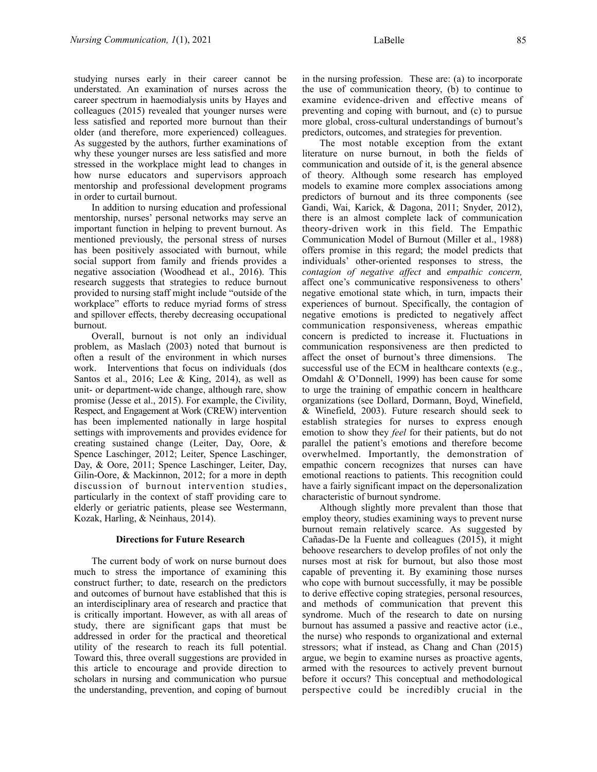studying nurses early in their career cannot be understated. An examination of nurses across the career spectrum in haemodialysis units by Hayes and colleagues (2015) revealed that younger nurses were less satisfied and reported more burnout than their older (and therefore, more experienced) colleagues. As suggested by the authors, further examinations of why these younger nurses are less satisfied and more stressed in the workplace might lead to changes in how nurse educators and supervisors approach mentorship and professional development programs in order to curtail burnout.

In addition to nursing education and professional mentorship, nurses' personal networks may serve an important function in helping to prevent burnout. As mentioned previously, the personal stress of nurses has been positively associated with burnout, while social support from family and friends provides a negative association (Woodhead et al., 2016). This research suggests that strategies to reduce burnout provided to nursing staff might include "outside of the workplace" efforts to reduce myriad forms of stress and spillover effects, thereby decreasing occupational burnout.

Overall, burnout is not only an individual problem, as Maslach (2003) noted that burnout is often a result of the environment in which nurses work. Interventions that focus on individuals (dos Santos et al., 2016; Lee & King, 2014), as well as unit- or department-wide change, although rare, show promise (Jesse et al., 2015). For example, the Civility, Respect, and Engagement at Work (CREW) intervention has been implemented nationally in large hospital settings with improvements and provides evidence for creating sustained change (Leiter, Day, Oore, & Spence Laschinger, 2012; Leiter, Spence Laschinger, Day, & Oore, 2011; Spence Laschinger, Leiter, Day, Gilin-Oore, & Mackinnon, 2012; for a more in depth discussion of burnout intervention studies, particularly in the context of staff providing care to elderly or geriatric patients, please see Westermann, Kozak, Harling, & Neinhaus, 2014).

#### **Directions for Future Research**

The current body of work on nurse burnout does much to stress the importance of examining this construct further; to date, research on the predictors and outcomes of burnout have established that this is an interdisciplinary area of research and practice that is critically important. However, as with all areas of study, there are significant gaps that must be addressed in order for the practical and theoretical utility of the research to reach its full potential. Toward this, three overall suggestions are provided in this article to encourage and provide direction to scholars in nursing and communication who pursue the understanding, prevention, and coping of burnout in the nursing profession. These are: (a) to incorporate the use of communication theory, (b) to continue to examine evidence-driven and effective means of preventing and coping with burnout, and (c) to pursue more global, cross-cultural understandings of burnout's predictors, outcomes, and strategies for prevention.

The most notable exception from the extant literature on nurse burnout, in both the fields of communication and outside of it, is the general absence of theory. Although some research has employed models to examine more complex associations among predictors of burnout and its three components (see Gandi, Wai, Karick, & Dagona, 2011; Snyder, 2012), there is an almost complete lack of communication theory-driven work in this field. The Empathic Communication Model of Burnout (Miller et al., 1988) offers promise in this regard; the model predicts that individuals' other-oriented responses to stress, the *contagion of negative affect* and *empathic concern,*  affect one's communicative responsiveness to others' negative emotional state which, in turn, impacts their experiences of burnout. Specifically, the contagion of negative emotions is predicted to negatively affect communication responsiveness, whereas empathic concern is predicted to increase it. Fluctuations in communication responsiveness are then predicted to affect the onset of burnout's three dimensions. The successful use of the ECM in healthcare contexts (e.g., Omdahl & O'Donnell, 1999) has been cause for some to urge the training of empathic concern in healthcare organizations (see Dollard, Dormann, Boyd, Winefield, & Winefield, 2003). Future research should seek to establish strategies for nurses to express enough emotion to show they *feel* for their patients, but do not parallel the patient's emotions and therefore become overwhelmed. Importantly, the demonstration of empathic concern recognizes that nurses can have emotional reactions to patients. This recognition could have a fairly significant impact on the depersonalization characteristic of burnout syndrome.

Although slightly more prevalent than those that employ theory, studies examining ways to prevent nurse burnout remain relatively scarce. As suggested by Cañadas-De la Fuente and colleagues (2015), it might behoove researchers to develop profiles of not only the nurses most at risk for burnout, but also those most capable of preventing it. By examining those nurses who cope with burnout successfully, it may be possible to derive effective coping strategies, personal resources, and methods of communication that prevent this syndrome. Much of the research to date on nursing burnout has assumed a passive and reactive actor (i.e., the nurse) who responds to organizational and external stressors; what if instead, as Chang and Chan (2015) argue, we begin to examine nurses as proactive agents, armed with the resources to actively prevent burnout before it occurs? This conceptual and methodological perspective could be incredibly crucial in the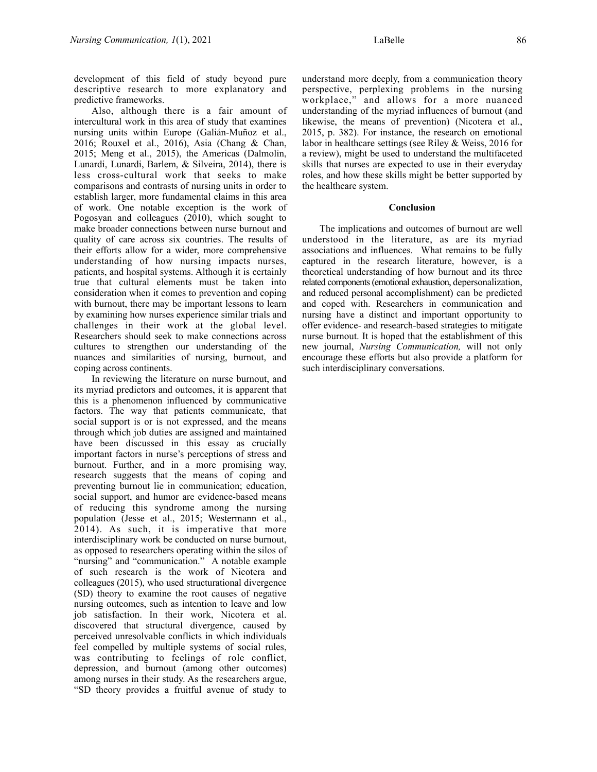development of this field of study beyond pure descriptive research to more explanatory and predictive frameworks.

Also, although there is a fair amount of intercultural work in this area of study that examines nursing units within Europe (Galián-Muñoz et al., 2016; Rouxel et al., 2016), Asia (Chang & Chan, 2015; Meng et al., 2015), the Americas (Dalmolin, Lunardi, Lunardi, Barlem, & Silveira, 2014), there is less cross-cultural work that seeks to make comparisons and contrasts of nursing units in order to establish larger, more fundamental claims in this area of work. One notable exception is the work of Pogosyan and colleagues (2010), which sought to make broader connections between nurse burnout and quality of care across six countries. The results of their efforts allow for a wider, more comprehensive understanding of how nursing impacts nurses, patients, and hospital systems. Although it is certainly true that cultural elements must be taken into consideration when it comes to prevention and coping with burnout, there may be important lessons to learn by examining how nurses experience similar trials and challenges in their work at the global level. Researchers should seek to make connections across cultures to strengthen our understanding of the nuances and similarities of nursing, burnout, and coping across continents.

In reviewing the literature on nurse burnout, and its myriad predictors and outcomes, it is apparent that this is a phenomenon influenced by communicative factors. The way that patients communicate, that social support is or is not expressed, and the means through which job duties are assigned and maintained have been discussed in this essay as crucially important factors in nurse's perceptions of stress and burnout. Further, and in a more promising way, research suggests that the means of coping and preventing burnout lie in communication; education, social support, and humor are evidence-based means of reducing this syndrome among the nursing population (Jesse et al., 2015; Westermann et al., 2014). As such, it is imperative that more interdisciplinary work be conducted on nurse burnout, as opposed to researchers operating within the silos of "nursing" and "communication." A notable example of such research is the work of Nicotera and colleagues (2015), who used structurational divergence (SD) theory to examine the root causes of negative nursing outcomes, such as intention to leave and low job satisfaction. In their work, Nicotera et al. discovered that structural divergence, caused by perceived unresolvable conflicts in which individuals feel compelled by multiple systems of social rules, was contributing to feelings of role conflict, depression, and burnout (among other outcomes) among nurses in their study. As the researchers argue, "SD theory provides a fruitful avenue of study to

understand more deeply, from a communication theory perspective, perplexing problems in the nursing workplace," and allows for a more nuanced understanding of the myriad influences of burnout (and likewise, the means of prevention) (Nicotera et al., 2015, p. 382). For instance, the research on emotional labor in healthcare settings (see Riley & Weiss, 2016 for a review), might be used to understand the multifaceted skills that nurses are expected to use in their everyday roles, and how these skills might be better supported by the healthcare system.

#### **Conclusion**

The implications and outcomes of burnout are well understood in the literature, as are its myriad associations and influences. What remains to be fully captured in the research literature, however, is a theoretical understanding of how burnout and its three related components (emotional exhaustion, depersonalization, and reduced personal accomplishment) can be predicted and coped with. Researchers in communication and nursing have a distinct and important opportunity to offer evidence- and research-based strategies to mitigate nurse burnout. It is hoped that the establishment of this new journal, *Nursing Communication,* will not only encourage these efforts but also provide a platform for such interdisciplinary conversations.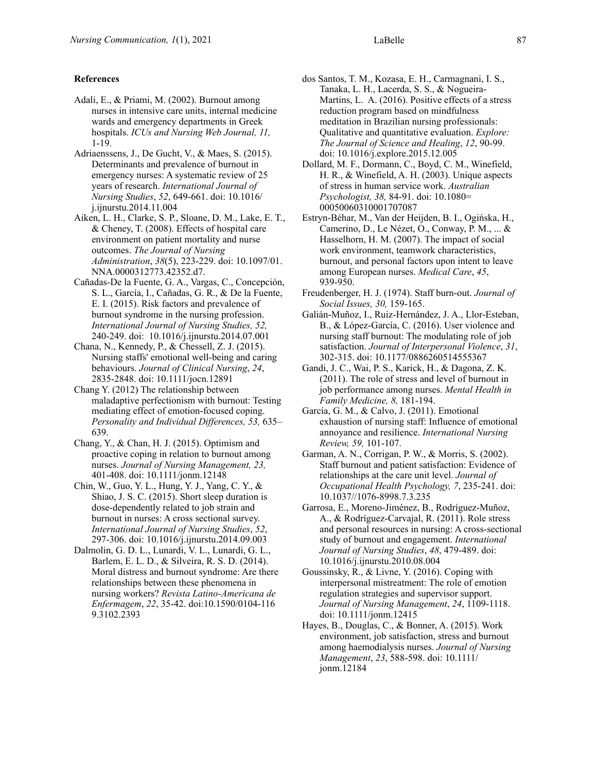#### **References**

- Adali, E., & Priami, M. (2002). Burnout among nurses in intensive care units, internal medicine wards and emergency departments in Greek hospitals. *ICUs and Nursing Web Journal, 11,*  1-19.
- Adriaenssens, J., De Gucht, V., & Maes, S. (2015). Determinants and prevalence of burnout in emergency nurses: A systematic review of 25 years of research. *International Journal of Nursing Studies*, *52*, 649-661. doi: 10.1016/ j.ijnurstu.2014.11.004
- Aiken, L. H., Clarke, S. P., Sloane, D. M., Lake, E. T., & Cheney, T. (2008). Effects of hospital care environment on patient mortality and nurse outcomes. *The Journal of Nursing Administration*, *38*(5), 223-229. doi: 10.1097/01. NNA.0000312773.42352.d7.
- Cañadas-De la Fuente, G. A., Vargas, C., Concepción, S. L., García, I., Cañadas, G. R., & De la Fuente, E. I. (2015). Risk factors and prevalence of burnout syndrome in the nursing profession. *International Journal of Nursing Studies, 52,*  240-249. doi: 10.1016/j.ijnurstu.2014.07.001
- Chana, N., Kennedy, P., & Chessell, Z. J. (2015). Nursing staffs' emotional well-being and caring behaviours. *Journal of Clinical Nursing*, *24*, 2835-2848. doi: 10.1111/jocn.12891
- Chang Y. (2012) The relationship between maladaptive perfectionism with burnout: Testing mediating effect of emotion-focused coping. *Personality and Individual Differences, 53,* 635– 639.
- Chang, Y., & Chan, H. J. (2015). Optimism and proactive coping in relation to burnout among nurses. *Journal of Nursing Management, 23,*  401-408. doi: 10.1111/jonm.12148
- Chin, W., Guo, Y. L., Hung, Y. J., Yang, C. Y., & Shiao, J. S. C. (2015). Short sleep duration is dose-dependently related to job strain and burnout in nurses: A cross sectional survey. *International Journal of Nursing Studies*, *52*, 297-306. doi: 10.1016/j.ijnurstu.2014.09.003
- Dalmolin, G. D. L., Lunardi, V. L., Lunardi, G. L., Barlem, E. L. D., & Silveira, R. S. D. (2014). Moral distress and burnout syndrome: Are there relationships between these phenomena in nursing workers? *Revista Latino-Americana de Enfermagem*, *22*, 35-42. doi:10.1590/0104-116 9.3102.2393
- dos Santos, T. M., Kozasa, E. H., Carmagnani, I. S., Tanaka, L. H., Lacerda, S. S., & Nogueira-Martins, L. A. (2016). Positive effects of a stress reduction program based on mindfulness meditation in Brazilian nursing professionals: Qualitative and quantitative evaluation. *Explore: The Journal of Science and Healing*, *12*, 90-99. doi: 10.1016/j.explore.2015.12.005
- Dollard, M. F., Dormann, C., Boyd, C. M., Winefield, H. R., & Winefield, A. H. (2003). Unique aspects of stress in human service work. *Australian Psychologist, 38,* 84-91. doi: 10.1080= 00050060310001707087
- Estryn-Béhar, M., Van der Heijden, B. I., Ogińska, H., Camerino, D., Le Nézet, O., Conway, P. M., ... & Hasselhorn, H. M. (2007). The impact of social work environment, teamwork characteristics, burnout, and personal factors upon intent to leave among European nurses. *Medical Care*, *45*, 939-950.
- Freudenberger, H. J. (1974). Staff burn-out. *Journal of Social Issues, 30,* 159-165.
- Galián-Muñoz, I., Ruiz-Hernández, J. A., Llor-Esteban, B., & López-García, C. (2016). User violence and nursing staff burnout: The modulating role of job satisfaction. *Journal of Interpersonal Violence*, *31*, 302-315. doi: 10.1177/0886260514555367
- Gandi, J. C., Wai, P. S., Karick, H., & Dagona, Z. K. (2011). The role of stress and level of burnout in job performance among nurses. *Mental Health in Family Medicine, 8,* 181-194.
- García, G. M., & Calvo, J. (2011). Emotional exhaustion of nursing staff: Influence of emotional annoyance and resilience. *International Nursing Review, 59,* 101-107.
- Garman, A. N., Corrigan, P. W., & Morris, S. (2002). Staff burnout and patient satisfaction: Evidence of relationships at the care unit level. *Journal of Occupational Health Psychology, 7*, 235-241. doi: 10.1037//1076-8998.7.3.235
- Garrosa, E., Moreno-Jiménez, B., Rodríguez-Muñoz, A., & Rodríguez-Carvajal, R. (2011). Role stress and personal resources in nursing: A cross-sectional study of burnout and engagement. *International Journal of Nursing Studies*, *48*, 479-489. doi: 10.1016/j.ijnurstu.2010.08.004
- Goussinsky, R., & Livne, Y. (2016). Coping with interpersonal mistreatment: The role of emotion regulation strategies and supervisor support. *Journal of Nursing Management*, *24*, 1109-1118. doi: 10.1111/jonm.12415
- Hayes, B., Douglas, C., & Bonner, A. (2015). Work environment, job satisfaction, stress and burnout among haemodialysis nurses. *Journal of Nursing Management*, *23*, 588-598. doi: 10.1111/ jonm.12184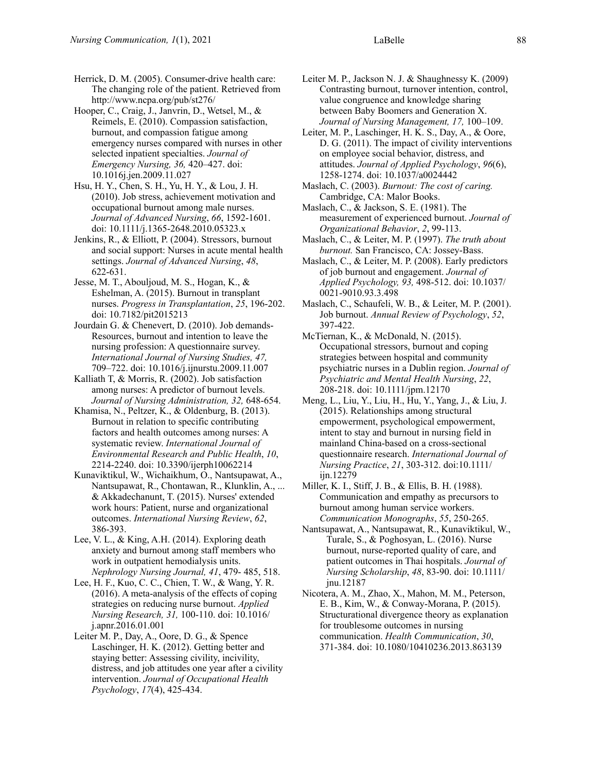Hooper, C., Craig, J., Janvrin, D., Wetsel, M., & Reimels, E. (2010). Compassion satisfaction, burnout, and compassion fatigue among emergency nurses compared with nurses in other selected inpatient specialties. *Journal of Emergency Nursing, 36,* 420–427. doi: 10.1016j.jen.2009.11.027

Hsu, H. Y., Chen, S. H., Yu, H. Y., & Lou, J. H. (2010). Job stress, achievement motivation and occupational burnout among male nurses. *Journal of Advanced Nursing*, *66*, 1592-1601. doi: 10.1111/j.1365-2648.2010.05323.x

Jenkins, R., & Elliott, P. (2004). Stressors, burnout and social support: Nurses in acute mental health settings. *Journal of Advanced Nursing*, *48*, 622-631.

Jesse, M. T., Abouljoud, M. S., Hogan, K., & Eshelman, A. (2015). Burnout in transplant nurses. *Progress in Transplantation*, *25*, 196-202. doi: 10.7182/pit2015213

Jourdain G. & Chenevert, D. (2010). Job demands-Resources, burnout and intention to leave the nursing profession: A questionnaire survey. *International Journal of Nursing Studies, 47,*  709–722. doi: 10.1016/j.ijnurstu.2009.11.007

Kalliath T, & Morris, R. (2002). Job satisfaction among nurses: A predictor of burnout levels. *Journal of Nursing Administration, 32,* 648-654.

Khamisa, N., Peltzer, K., & Oldenburg, B. (2013). Burnout in relation to specific contributing factors and health outcomes among nurses: A systematic review. *International Journal of Environmental Research and Public Health*, *10*, 2214-2240. doi: 10.3390/ijerph10062214

Kunaviktikul, W., Wichaikhum, O., Nantsupawat, A., Nantsupawat, R., Chontawan, R., Klunklin, A., ... & Akkadechanunt, T. (2015). Nurses' extended work hours: Patient, nurse and organizational outcomes. *International Nursing Review*, *62*, 386-393.

Lee, V. L., & King, A.H. (2014). Exploring death anxiety and burnout among staff members who work in outpatient hemodialysis units. *Nephrology Nursing Journal, 41*, 479- 485, 518.

Lee, H. F., Kuo, C. C., Chien, T. W., & Wang, Y. R. (2016). A meta-analysis of the effects of coping strategies on reducing nurse burnout. *Applied Nursing Research, 31,* 100-110. doi: 10.1016/ j.apnr.2016.01.001

Leiter M. P., Day, A., Oore, D. G., & Spence Laschinger, H. K. (2012). Getting better and staying better: Assessing civility, incivility, distress, and job attitudes one year after a civility intervention. *Journal of Occupational Health Psychology*, *17*(4), 425-434.

- Leiter M. P., Jackson N. J. & Shaughnessy K. (2009) Contrasting burnout, turnover intention, control, value congruence and knowledge sharing between Baby Boomers and Generation X. *Journal of Nursing Management, 17,* 100–109.
- Leiter, M. P., Laschinger, H. K. S., Day, A., & Oore, D. G. (2011). The impact of civility interventions on employee social behavior, distress, and attitudes. *Journal of Applied Psychology*, *96*(6), 1258-1274. doi: 10.1037/a0024442
- Maslach, C. (2003). *Burnout: The cost of caring.* Cambridge, CA: Malor Books.
- Maslach, C., & Jackson, S. E. (1981). The measurement of experienced burnout. *Journal of Organizational Behavior*, *2*, 99-113.
- Maslach, C., & Leiter, M. P. (1997). *The truth about burnout.* San Francisco, CA: Jossey-Bass.
- Maslach, C., & Leiter, M. P. (2008). Early predictors of job burnout and engagement. *Journal of Applied Psychology, 93,* 498-512. doi: 10.1037/ 0021-9010.93.3.498
- Maslach, C., Schaufeli, W. B., & Leiter, M. P. (2001). Job burnout. *Annual Review of Psychology*, *52*, 397-422.
- McTiernan, K., & McDonald, N. (2015). Occupational stressors, burnout and coping strategies between hospital and community psychiatric nurses in a Dublin region. *Journal of Psychiatric and Mental Health Nursing*, *22*, 208-218. doi: 10.1111/jpm.12170
- Meng, L., Liu, Y., Liu, H., Hu, Y., Yang, J., & Liu, J. (2015). Relationships among structural empowerment, psychological empowerment, intent to stay and burnout in nursing field in mainland China-based on a cross-sectional questionnaire research. *International Journal of Nursing Practice*, *21*, 303-312. doi:10.1111/ ijn.12279
- Miller, K. I., Stiff, J. B., & Ellis, B. H. (1988). Communication and empathy as precursors to burnout among human service workers. *Communication Monographs*, *55*, 250-265.
- Nantsupawat, A., Nantsupawat, R., Kunaviktikul, W., Turale, S., & Poghosyan, L. (2016). Nurse burnout, nurse-reported quality of care, and patient outcomes in Thai hospitals. *Journal of Nursing Scholarship*, *48*, 83-90. doi: 10.1111/ jnu.12187
- Nicotera, A. M., Zhao, X., Mahon, M. M., Peterson, E. B., Kim, W., & Conway-Morana, P. (2015). Structurational divergence theory as explanation for troublesome outcomes in nursing communication. *Health Communication*, *30*, 371-384. doi: 10.1080/10410236.2013.863139